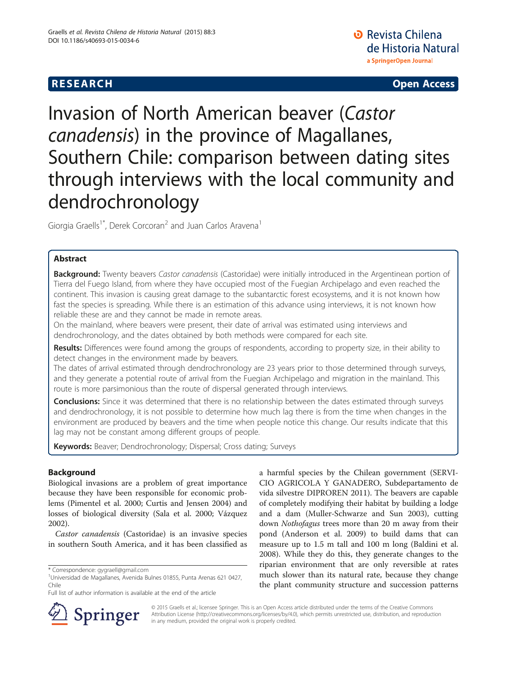## **RESEARCH CHE Open Access**

# Invasion of North American beaver (Castor canadensis) in the province of Magallanes, Southern Chile: comparison between dating sites through interviews with the local community and dendrochronology

Giorgia Graells<sup>1\*</sup>, Derek Corcoran<sup>2</sup> and Juan Carlos Aravena<sup>1</sup>

## Abstract

Background: Twenty beavers Castor canadensis (Castoridae) were initially introduced in the Argentinean portion of Tierra del Fuego Island, from where they have occupied most of the Fuegian Archipelago and even reached the continent. This invasion is causing great damage to the subantarctic forest ecosystems, and it is not known how fast the species is spreading. While there is an estimation of this advance using interviews, it is not known how reliable these are and they cannot be made in remote areas.

On the mainland, where beavers were present, their date of arrival was estimated using interviews and dendrochronology, and the dates obtained by both methods were compared for each site.

Results: Differences were found among the groups of respondents, according to property size, in their ability to detect changes in the environment made by beavers.

The dates of arrival estimated through dendrochronology are 23 years prior to those determined through surveys, and they generate a potential route of arrival from the Fuegian Archipelago and migration in the mainland. This route is more parsimonious than the route of dispersal generated through interviews.

Conclusions: Since it was determined that there is no relationship between the dates estimated through surveys and dendrochronology, it is not possible to determine how much lag there is from the time when changes in the environment are produced by beavers and the time when people notice this change. Our results indicate that this lag may not be constant among different groups of people.

Keywords: Beaver; Dendrochronology; Dispersal; Cross dating; Surveys

## Background

Biological invasions are a problem of great importance because they have been responsible for economic problems (Pimentel et al. [2000;](#page-7-0) Curtis and Jensen [2004\)](#page-7-0) and losses of biological diversity (Sala et al. [2000](#page-7-0); Vázquez [2002](#page-8-0)).

Castor canadensis (Castoridae) is an invasive species in southern South America, and it has been classified as

a harmful species by the Chilean government (SERVI-CIO AGRICOLA Y GANADERO, Subdepartamento de vida silvestre DIPROREN [2011\)](#page-7-0). The beavers are capable of completely modifying their habitat by building a lodge and a dam (Muller-Schwarze and Sun [2003\)](#page-7-0), cutting down Nothofagus trees more than 20 m away from their pond (Anderson et al. [2009](#page-7-0)) to build dams that can measure up to 1.5 m tall and 100 m long (Baldini et al. [2008](#page-7-0)). While they do this, they generate changes to the riparian environment that are only reversible at rates much slower than its natural rate, because they change the plant community structure and succession patterns



© 2015 Graells et al.; licensee Springer. This is an Open Access article distributed under the terms of the Creative Commons Attribution License [\(http://creativecommons.org/licenses/by/4.0\)](http://creativecommons.org/licenses/by/4.0), which permits unrestricted use, distribution, and reproduction in any medium, provided the original work is properly credited.

<sup>\*</sup> Correspondence: [gygraell@gmail.com](mailto:gygraell@gmail.com) <sup>1</sup>

Universidad de Magallanes, Avenida Bulnes 01855, Punta Arenas 621 0427, Chile

Full list of author information is available at the end of the article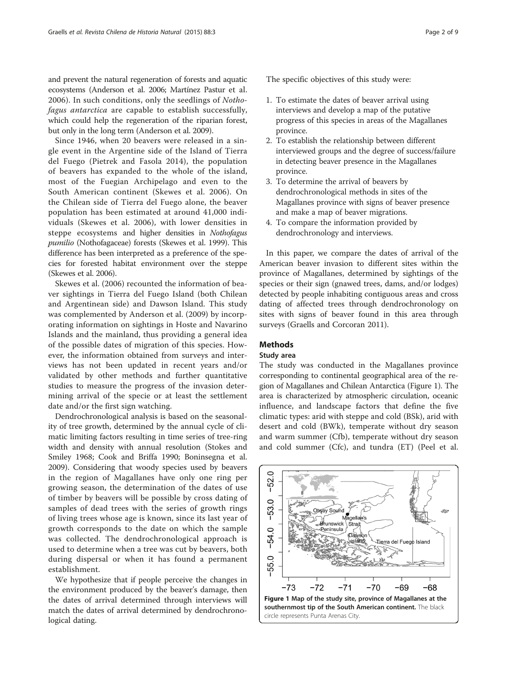and prevent the natural regeneration of forests and aquatic ecosystems (Anderson et al. [2006;](#page-7-0) Martínez Pastur et al. [2006](#page-7-0)). In such conditions, only the seedlings of Nothofagus antarctica are capable to establish successfully, which could help the regeneration of the riparian forest, but only in the long term (Anderson et al. [2009\)](#page-7-0).

Since 1946, when 20 beavers were released in a single event in the Argentine side of the Island of Tierra del Fuego (Pietrek and Fasola [2014\)](#page-7-0), the population of beavers has expanded to the whole of the island, most of the Fuegian Archipelago and even to the South American continent (Skewes et al. [2006](#page-7-0)). On the Chilean side of Tierra del Fuego alone, the beaver population has been estimated at around 41,000 individuals (Skewes et al. [2006\)](#page-7-0), with lower densities in steppe ecosystems and higher densities in Nothofagus pumilio (Nothofagaceae) forests (Skewes et al. [1999](#page-8-0)). This difference has been interpreted as a preference of the species for forested habitat environment over the steppe (Skewes et al. [2006\)](#page-7-0).

Skewes et al. ([2006](#page-7-0)) recounted the information of beaver sightings in Tierra del Fuego Island (both Chilean and Argentinean side) and Dawson Island. This study was complemented by Anderson et al. [\(2009\)](#page-7-0) by incorporating information on sightings in Hoste and Navarino Islands and the mainland, thus providing a general idea of the possible dates of migration of this species. However, the information obtained from surveys and interviews has not been updated in recent years and/or validated by other methods and further quantitative studies to measure the progress of the invasion determining arrival of the specie or at least the settlement date and/or the first sign watching.

Dendrochronological analysis is based on the seasonality of tree growth, determined by the annual cycle of climatic limiting factors resulting in time series of tree-ring width and density with annual resolution (Stokes and Smiley [1968;](#page-8-0) Cook and Briffa [1990](#page-7-0); Boninsegna et al. [2009](#page-7-0)). Considering that woody species used by beavers in the region of Magallanes have only one ring per growing season, the determination of the dates of use of timber by beavers will be possible by cross dating of samples of dead trees with the series of growth rings of living trees whose age is known, since its last year of growth corresponds to the date on which the sample was collected. The dendrochronological approach is used to determine when a tree was cut by beavers, both during dispersal or when it has found a permanent establishment.

We hypothesize that if people perceive the changes in the environment produced by the beaver's damage, then the dates of arrival determined through interviews will match the dates of arrival determined by dendrochronological dating.

The specific objectives of this study were:

- 1. To estimate the dates of beaver arrival using interviews and develop a map of the putative progress of this species in areas of the Magallanes province.
- 2. To establish the relationship between different interviewed groups and the degree of success/failure in detecting beaver presence in the Magallanes province.
- 3. To determine the arrival of beavers by dendrochronological methods in sites of the Magallanes province with signs of beaver presence and make a map of beaver migrations.
- 4. To compare the information provided by dendrochronology and interviews.

In this paper, we compare the dates of arrival of the American beaver invasion to different sites within the province of Magallanes, determined by sightings of the species or their sign (gnawed trees, dams, and/or lodges) detected by people inhabiting contiguous areas and cross dating of affected trees through dendrochronology on sites with signs of beaver found in this area through surveys (Graells and Corcoran [2011\)](#page-7-0).

## **Methods**

#### Study area

The study was conducted in the Magallanes province corresponding to continental geographical area of the region of Magallanes and Chilean Antarctica (Figure 1). The area is characterized by atmospheric circulation, oceanic influence, and landscape factors that define the five climatic types: arid with steppe and cold (BSk), arid with desert and cold (BWk), temperate without dry season and warm summer (Cfb), temperate without dry season and cold summer (Cfc), and tundra (ET) (Peel et al.

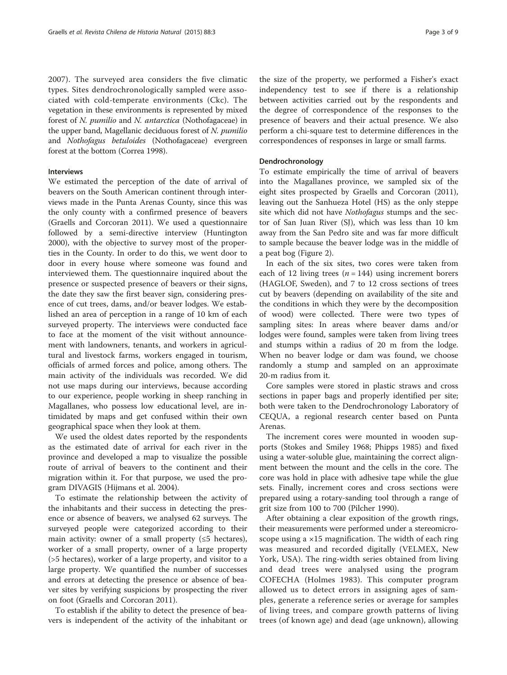[2007](#page-7-0)). The surveyed area considers the five climatic types. Sites dendrochronologically sampled were associated with cold-temperate environments (Ckc). The vegetation in these environments is represented by mixed forest of N. pumilio and N. antarctica (Nothofagaceae) in the upper band, Magellanic deciduous forest of N. pumilio and Nothofagus betuloides (Nothofagaceae) evergreen forest at the bottom (Correa [1998](#page-7-0)).

#### Interviews

We estimated the perception of the date of arrival of beavers on the South American continent through interviews made in the Punta Arenas County, since this was the only county with a confirmed presence of beavers (Graells and Corcoran [2011\)](#page-7-0). We used a questionnaire followed by a semi-directive interview (Huntington [2000](#page-7-0)), with the objective to survey most of the properties in the County. In order to do this, we went door to door in every house where someone was found and interviewed them. The questionnaire inquired about the presence or suspected presence of beavers or their signs, the date they saw the first beaver sign, considering presence of cut trees, dams, and/or beaver lodges. We established an area of perception in a range of 10 km of each surveyed property. The interviews were conducted face to face at the moment of the visit without announcement with landowners, tenants, and workers in agricultural and livestock farms, workers engaged in tourism, officials of armed forces and police, among others. The main activity of the individuals was recorded. We did not use maps during our interviews, because according to our experience, people working in sheep ranching in Magallanes, who possess low educational level, are intimidated by maps and get confused within their own geographical space when they look at them.

We used the oldest dates reported by the respondents as the estimated date of arrival for each river in the province and developed a map to visualize the possible route of arrival of beavers to the continent and their migration within it. For that purpose, we used the program DIVAGIS (Hijmans et al. [2004](#page-7-0)).

To estimate the relationship between the activity of the inhabitants and their success in detecting the presence or absence of beavers, we analysed 62 surveys. The surveyed people were categorized according to their main activity: owner of a small property  $(≤5$  hectares), worker of a small property, owner of a large property (>5 hectares), worker of a large property, and visitor to a large property. We quantified the number of successes and errors at detecting the presence or absence of beaver sites by verifying suspicions by prospecting the river on foot (Graells and Corcoran [2011](#page-7-0)).

To establish if the ability to detect the presence of beavers is independent of the activity of the inhabitant or the size of the property, we performed a Fisher's exact independency test to see if there is a relationship between activities carried out by the respondents and the degree of correspondence of the responses to the presence of beavers and their actual presence. We also perform a chi-square test to determine differences in the correspondences of responses in large or small farms.

#### Dendrochronology

To estimate empirically the time of arrival of beavers into the Magallanes province, we sampled six of the eight sites prospected by Graells and Corcoran ([2011](#page-7-0)), leaving out the Sanhueza Hotel (HS) as the only steppe site which did not have Nothofagus stumps and the sector of San Juan River (SJ), which was less than 10 km away from the San Pedro site and was far more difficult to sample because the beaver lodge was in the middle of a peat bog (Figure [2\)](#page-3-0).

In each of the six sites, two cores were taken from each of 12 living trees ( $n = 144$ ) using increment borers (HAGLOF, Sweden), and 7 to 12 cross sections of trees cut by beavers (depending on availability of the site and the conditions in which they were by the decomposition of wood) were collected. There were two types of sampling sites: In areas where beaver dams and/or lodges were found, samples were taken from living trees and stumps within a radius of 20 m from the lodge. When no beaver lodge or dam was found, we choose randomly a stump and sampled on an approximate 20-m radius from it.

Core samples were stored in plastic straws and cross sections in paper bags and properly identified per site; both were taken to the Dendrochronology Laboratory of CEQUA, a regional research center based on Punta Arenas.

The increment cores were mounted in wooden supports (Stokes and Smiley [1968](#page-8-0); Phipps [1985](#page-7-0)) and fixed using a water-soluble glue, maintaining the correct alignment between the mount and the cells in the core. The core was hold in place with adhesive tape while the glue sets. Finally, increment cores and cross sections were prepared using a rotary-sanding tool through a range of grit size from 100 to 700 (Pilcher [1990](#page-7-0)).

After obtaining a clear exposition of the growth rings, their measurements were performed under a stereomicroscope using a ×15 magnification. The width of each ring was measured and recorded digitally (VELMEX, New York, USA). The ring-width series obtained from living and dead trees were analysed using the program COFECHA (Holmes [1983](#page-7-0)). This computer program allowed us to detect errors in assigning ages of samples, generate a reference series or average for samples of living trees, and compare growth patterns of living trees (of known age) and dead (age unknown), allowing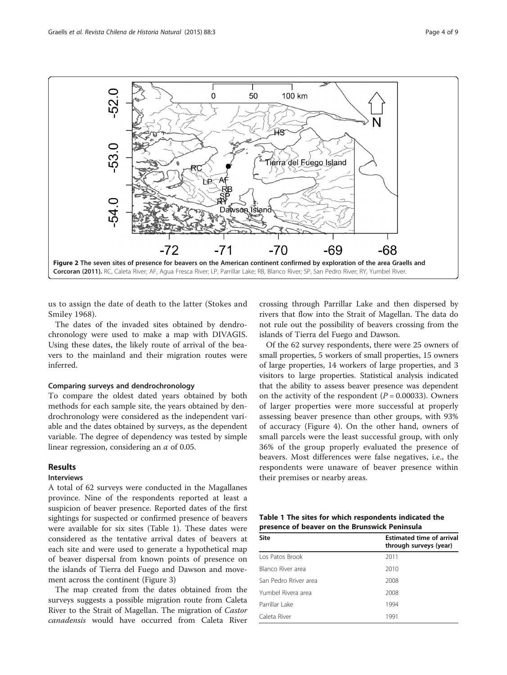<span id="page-3-0"></span>

us to assign the date of death to the latter (Stokes and Smiley [1968\)](#page-8-0).

The dates of the invaded sites obtained by dendrochronology were used to make a map with DIVAGIS. Using these dates, the likely route of arrival of the beavers to the mainland and their migration routes were inferred.

#### Comparing surveys and dendrochronology

To compare the oldest dated years obtained by both methods for each sample site, the years obtained by dendrochronology were considered as the independent variable and the dates obtained by surveys, as the dependent variable. The degree of dependency was tested by simple linear regression, considering an  $\alpha$  of 0.05.

### Results

#### Interviews

A total of 62 surveys were conducted in the Magallanes province. Nine of the respondents reported at least a suspicion of beaver presence. Reported dates of the first sightings for suspected or confirmed presence of beavers were available for six sites (Table 1). These dates were considered as the tentative arrival dates of beavers at each site and were used to generate a hypothetical map of beaver dispersal from known points of presence on the islands of Tierra del Fuego and Dawson and movement across the continent (Figure [3\)](#page-4-0)

The map created from the dates obtained from the surveys suggests a possible migration route from Caleta River to the Strait of Magellan. The migration of Castor canadensis would have occurred from Caleta River

crossing through Parrillar Lake and then dispersed by rivers that flow into the Strait of Magellan. The data do not rule out the possibility of beavers crossing from the islands of Tierra del Fuego and Dawson.

Of the 62 survey respondents, there were 25 owners of small properties, 5 workers of small properties, 15 owners of large properties, 14 workers of large properties, and 3 visitors to large properties. Statistical analysis indicated that the ability to assess beaver presence was dependent on the activity of the respondent  $(P = 0.00033)$ . Owners of larger properties were more successful at properly assessing beaver presence than other groups, with 93% of accuracy (Figure [4\)](#page-4-0). On the other hand, owners of small parcels were the least successful group, with only 36% of the group properly evaluated the presence of beavers. Most differences were false negatives, i.e., the respondents were unaware of beaver presence within their premises or nearby areas.

|  |  |                                               | Table 1 The sites for which respondents indicated the |  |
|--|--|-----------------------------------------------|-------------------------------------------------------|--|
|  |  | presence of beaver on the Brunswick Peninsula |                                                       |  |

| Site                  | <b>Estimated time of arrival</b><br>through surveys (year) |
|-----------------------|------------------------------------------------------------|
| Los Patos Brook       | 2011                                                       |
| Blanco River area     | 2010                                                       |
| San Pedro Rriver area | 2008                                                       |
| Yumbel Rivera area    | 2008                                                       |
| Parrillar Lake        | 1994                                                       |
| Caleta River          | 1991                                                       |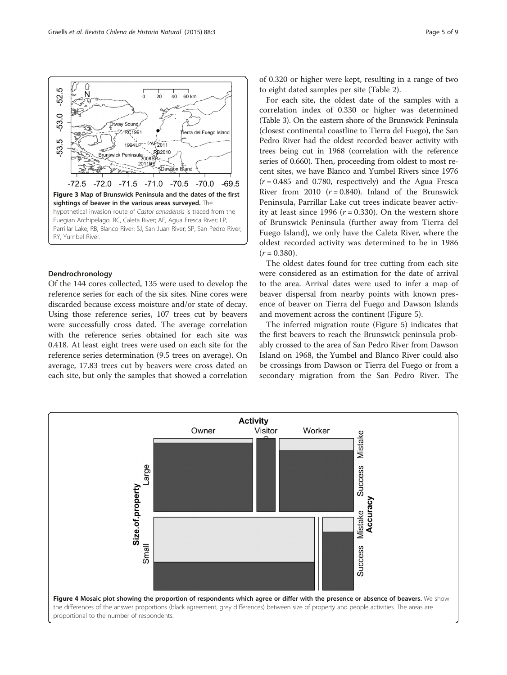<span id="page-4-0"></span>

#### Dendrochronology

Of the 144 cores collected, 135 were used to develop the reference series for each of the six sites. Nine cores were discarded because excess moisture and/or state of decay. Using those reference series, 107 trees cut by beavers were successfully cross dated. The average correlation with the reference series obtained for each site was 0.418. At least eight trees were used on each site for the reference series determination (9.5 trees on average). On average, 17.83 trees cut by beavers were cross dated on each site, but only the samples that showed a correlation of 0.320 or higher were kept, resulting in a range of two to eight dated samples per site (Table [2\)](#page-5-0).

For each site, the oldest date of the samples with a correlation index of 0.330 or higher was determined (Table [3\)](#page-5-0). On the eastern shore of the Brunswick Peninsula (closest continental coastline to Tierra del Fuego), the San Pedro River had the oldest recorded beaver activity with trees being cut in 1968 (correlation with the reference series of 0.660). Then, proceeding from oldest to most recent sites, we have Blanco and Yumbel Rivers since 1976  $(r = 0.485$  and 0.780, respectively) and the Agua Fresca River from 2010  $(r = 0.840)$ . Inland of the Brunswick Peninsula, Parrillar Lake cut trees indicate beaver activity at least since 1996 ( $r = 0.330$ ). On the western shore of Brunswick Peninsula (further away from Tierra del Fuego Island), we only have the Caleta River, where the oldest recorded activity was determined to be in 1986  $(r = 0.380)$ .

The oldest dates found for tree cutting from each site were considered as an estimation for the date of arrival to the area. Arrival dates were used to infer a map of beaver dispersal from nearby points with known presence of beaver on Tierra del Fuego and Dawson Islands and movement across the continent (Figure [5\)](#page-5-0).

The inferred migration route (Figure [5\)](#page-5-0) indicates that the first beavers to reach the Brunswick peninsula probably crossed to the area of San Pedro River from Dawson Island on 1968, the Yumbel and Blanco River could also be crossings from Dawson or Tierra del Fuego or from a secondary migration from the San Pedro River. The

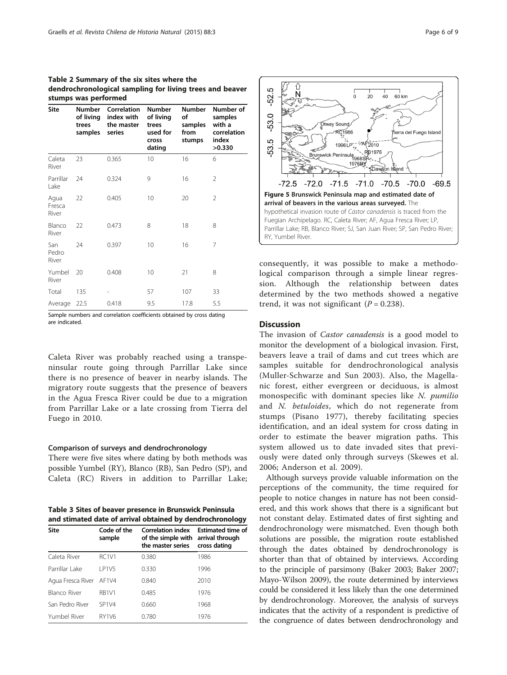<span id="page-5-0"></span>

| Table 2 Summary of the six sites where the               |
|----------------------------------------------------------|
| dendrochronological sampling for living trees and beaver |
| stumps was performed                                     |

| <b>Site</b>             | <b>Number</b><br>of living<br>trees<br>samples | Correlation<br>index with<br>the master<br>series | <b>Number</b><br>of living<br>trees<br>used for<br><b>Cross</b><br>dating | <b>Number</b><br>of<br>samples<br>from<br>stumps | Number of<br>samples<br>with a<br>correlation<br>index<br>>0.330 |
|-------------------------|------------------------------------------------|---------------------------------------------------|---------------------------------------------------------------------------|--------------------------------------------------|------------------------------------------------------------------|
| Caleta<br>River         | 23                                             | 0.365                                             | 10 <sup>°</sup>                                                           | 16                                               | 6                                                                |
| Parrillar<br>Lake       | 24                                             | 0.324                                             | 9                                                                         | 16                                               | 2                                                                |
| Agua<br>Fresca<br>River | 22                                             | 0.405                                             | 10                                                                        | 20                                               | 2                                                                |
| Blanco<br>River         | 22                                             | 0.473                                             | 8                                                                         | 18                                               | 8                                                                |
| San<br>Pedro<br>River   | 24                                             | 0.397                                             | 10                                                                        | 16                                               | 7                                                                |
| Yumbel<br>River         | 20                                             | 0.408                                             | 10                                                                        | 21                                               | 8                                                                |
| Total                   | 135                                            |                                                   | 57                                                                        | 107                                              | 33                                                               |
| Average                 | 22.5                                           | 0.418                                             | 9.5                                                                       | 17.8                                             | 5.5                                                              |

Sample numbers and correlation coefficients obtained by cross dating are indicated.

Caleta River was probably reached using a transpeninsular route going through Parrillar Lake since there is no presence of beaver in nearby islands. The migratory route suggests that the presence of beavers in the Agua Fresca River could be due to a migration from Parrillar Lake or a late crossing from Tierra del Fuego in 2010.

#### Comparison of surveys and dendrochronology

There were five sites where dating by both methods was possible Yumbel (RY), Blanco (RB), San Pedro (SP), and Caleta (RC) Rivers in addition to Parrillar Lake;

Table 3 Sites of beaver presence in Brunswick Peninsula and stimated date of arrival obtained by dendrochronology

| Site                    | Code of the<br>sample          | <b>Correlation index</b><br>of the simple with arrival through<br>the master series | <b>Estimated time of</b><br>cross dating |
|-------------------------|--------------------------------|-------------------------------------------------------------------------------------|------------------------------------------|
| Caleta River            | <b>RC1V1</b>                   | 0.380                                                                               | 1986                                     |
| Parrillar Lake          | LP1V5                          | 0.330                                                                               | 1996                                     |
| Agua Fresca River AF1V4 |                                | 0.840                                                                               | 2010                                     |
| Blanco River            | RB <sub>1V1</sub>              | 0.485                                                                               | 1976                                     |
| San Pedro River         | SP <sub>1</sub> V <sub>4</sub> | 0.660                                                                               | 1968                                     |
| Yumbel River            | <b>RY1V6</b>                   | 0.780                                                                               | 1976                                     |



consequently, it was possible to make a methodological comparison through a simple linear regression. Although the relationship between dates determined by the two methods showed a negative trend, it was not significant  $(P = 0.238)$ .

#### **Discussion**

The invasion of Castor canadensis is a good model to monitor the development of a biological invasion. First, beavers leave a trail of dams and cut trees which are samples suitable for dendrochronological analysis (Muller-Schwarze and Sun [2003\)](#page-7-0). Also, the Magellanic forest, either evergreen or deciduous, is almost monospecific with dominant species like N. pumilio and N. betuloides, which do not regenerate from stumps (Pisano [1977](#page-7-0)), thereby facilitating species identification, and an ideal system for cross dating in order to estimate the beaver migration paths. This system allowed us to date invaded sites that previously were dated only through surveys (Skewes et al. [2006;](#page-7-0) Anderson et al. [2009\)](#page-7-0).

Although surveys provide valuable information on the perceptions of the community, the time required for people to notice changes in nature has not been considered, and this work shows that there is a significant but not constant delay. Estimated dates of first sighting and dendrochronology were mismatched. Even though both solutions are possible, the migration route established through the dates obtained by dendrochronology is shorter than that of obtained by interviews. According to the principle of parsimony (Baker [2003](#page-7-0); Baker [2007](#page-7-0); Mayo-Wilson [2009\)](#page-7-0), the route determined by interviews could be considered it less likely than the one determined by dendrochronology. Moreover, the analysis of surveys indicates that the activity of a respondent is predictive of the congruence of dates between dendrochronology and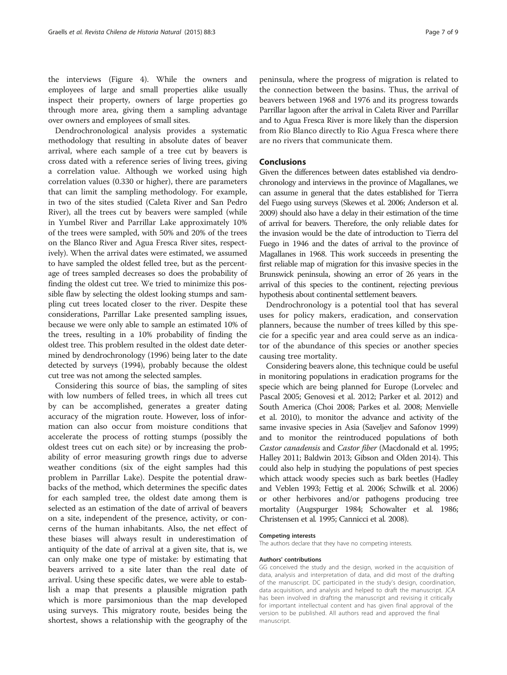the interviews (Figure [4\)](#page-4-0). While the owners and employees of large and small properties alike usually inspect their property, owners of large properties go through more area, giving them a sampling advantage over owners and employees of small sites.

Dendrochronological analysis provides a systematic methodology that resulting in absolute dates of beaver arrival, where each sample of a tree cut by beavers is cross dated with a reference series of living trees, giving a correlation value. Although we worked using high correlation values (0.330 or higher), there are parameters that can limit the sampling methodology. For example, in two of the sites studied (Caleta River and San Pedro River), all the trees cut by beavers were sampled (while in Yumbel River and Parrillar Lake approximately 10% of the trees were sampled, with 50% and 20% of the trees on the Blanco River and Agua Fresca River sites, respectively). When the arrival dates were estimated, we assumed to have sampled the oldest felled tree, but as the percentage of trees sampled decreases so does the probability of finding the oldest cut tree. We tried to minimize this possible flaw by selecting the oldest looking stumps and sampling cut trees located closer to the river. Despite these considerations, Parrillar Lake presented sampling issues, because we were only able to sample an estimated 10% of the trees, resulting in a 10% probability of finding the oldest tree. This problem resulted in the oldest date determined by dendrochronology (1996) being later to the date detected by surveys (1994), probably because the oldest cut tree was not among the selected samples.

Considering this source of bias, the sampling of sites with low numbers of felled trees, in which all trees cut by can be accomplished, generates a greater dating accuracy of the migration route. However, loss of information can also occur from moisture conditions that accelerate the process of rotting stumps (possibly the oldest trees cut on each site) or by increasing the probability of error measuring growth rings due to adverse weather conditions (six of the eight samples had this problem in Parrillar Lake). Despite the potential drawbacks of the method, which determines the specific dates for each sampled tree, the oldest date among them is selected as an estimation of the date of arrival of beavers on a site, independent of the presence, activity, or concerns of the human inhabitants. Also, the net effect of these biases will always result in underestimation of antiquity of the date of arrival at a given site, that is, we can only make one type of mistake: by estimating that beavers arrived to a site later than the real date of arrival. Using these specific dates, we were able to establish a map that presents a plausible migration path which is more parsimonious than the map developed using surveys. This migratory route, besides being the shortest, shows a relationship with the geography of the

peninsula, where the progress of migration is related to the connection between the basins. Thus, the arrival of beavers between 1968 and 1976 and its progress towards Parrillar lagoon after the arrival in Caleta River and Parrillar and to Agua Fresca River is more likely than the dispersion from Rio Blanco directly to Rio Agua Fresca where there are no rivers that communicate them.

#### Conclusions

Given the differences between dates established via dendrochronology and interviews in the province of Magallanes, we can assume in general that the dates established for Tierra del Fuego using surveys (Skewes et al. [2006](#page-7-0); Anderson et al. [2009](#page-7-0)) should also have a delay in their estimation of the time of arrival for beavers. Therefore, the only reliable dates for the invasion would be the date of introduction to Tierra del Fuego in 1946 and the dates of arrival to the province of Magallanes in 1968. This work succeeds in presenting the first reliable map of migration for this invasive species in the Brunswick peninsula, showing an error of 26 years in the arrival of this species to the continent, rejecting previous hypothesis about continental settlement beavers.

Dendrochronology is a potential tool that has several uses for policy makers, eradication, and conservation planners, because the number of trees killed by this specie for a specific year and area could serve as an indicator of the abundance of this species or another species causing tree mortality.

Considering beavers alone, this technique could be useful in monitoring populations in eradication programs for the specie which are being planned for Europe (Lorvelec and Pascal [2005;](#page-7-0) Genovesi et al. [2012;](#page-7-0) Parker et al. [2012](#page-7-0)) and South America (Choi [2008;](#page-7-0) Parkes et al. [2008;](#page-7-0) Menvielle et al. [2010](#page-7-0)), to monitor the advance and activity of the same invasive species in Asia (Saveljev and Safonov [1999](#page-7-0)) and to monitor the reintroduced populations of both Castor canadensis and Castor fiber (Macdonald et al. [1995](#page-7-0); Halley [2011;](#page-7-0) Baldwin [2013](#page-7-0); Gibson and Olden [2014\)](#page-7-0). This could also help in studying the populations of pest species which attack woody species such as bark beetles (Hadley and Veblen [1993;](#page-7-0) Fettig et al. [2006;](#page-7-0) Schwilk et al. [2006](#page-7-0)) or other herbivores and/or pathogens producing tree mortality (Augspurger [1984](#page-7-0); Schowalter et al. [1986](#page-7-0); Christensen et al. [1995;](#page-7-0) Cannicci et al. [2008](#page-7-0)).

#### Competing interests

The authors declare that they have no competing interests.

#### Authors' contributions

GG conceived the study and the design, worked in the acquisition of data, analysis and interpretation of data, and did most of the drafting of the manuscript. DC participated in the study's design, coordination, data acquisition, and analysis and helped to draft the manuscript. JCA has been involved in drafting the manuscript and revising it critically for important intellectual content and has given final approval of the version to be published. All authors read and approved the final manuscript.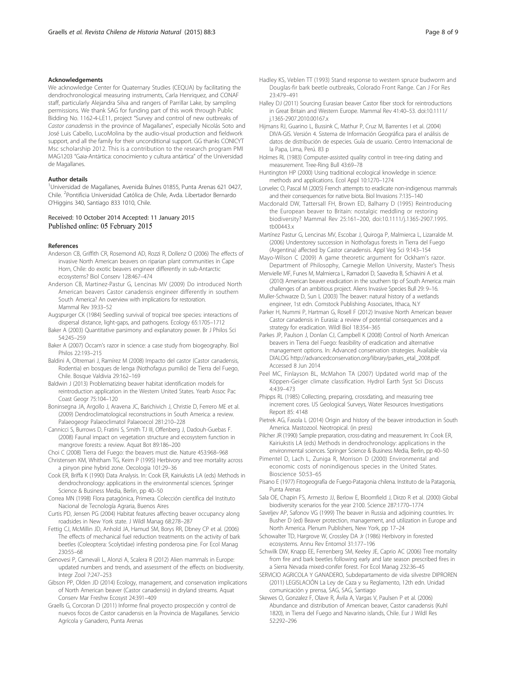#### <span id="page-7-0"></span>Acknowledgements

We acknowledge Center for Quaternary Studies (CEQUA) by facilitating the dendrochronological measuring instruments, Carla Henriquez, and CONAF staff, particularly Alejandra Silva and rangers of Parrillar Lake, by sampling permissions. We thank SAG for funding part of this work through Public Bidding No. 1162-4-LE11, project "Survey and control of new outbreaks of Castor canadensis in the province of Magallanes", especially Nicolás Soto and José Luis Cabello, LucoMolina by the audio-visual production and fieldwork support, and all the family for their unconditional support. GG thanks CONICYT Msc scholarship 2012. This is a contribution to the research program PMI MAG1203 "Gaia-Antártica: conocimiento y cultura antártica" of the Universidad de Magallanes.

#### Author details

<sup>1</sup>Universidad de Magallanes, Avenida Bulnes 01855, Punta Arenas 621 0427, Chile. <sup>2</sup>Pontificia Universidad Católica de Chile, Avda. Libertador Bernardo O'Higgins 340, Santiago 833 1010, Chile.

#### Received: 10 October 2014 Accepted: 11 January 2015 Published online: 05 February 2015

#### References

- Anderson CB, Griffith CR, Rosemond AD, Rozzi R, Dollenz O (2006) The effects of invasive North American beavers on riparian plant communities in Cape Horn, Chile: do exotic beavers engineer differently in sub-Antarctic ecosystems? Biol Conserv 128:467–474
- Anderson CB, Martinez-Pastur G, Lencinas MV (2009) Do introduced North American beavers Castor canadensis engineer differently in southern South America? An overview with implications for restoration. Mammal Rev 39:33–52
- Augspurger CK (1984) Seedling survival of tropical tree species: interactions of dispersal distance, light-gaps, and pathogens. Ecology 65:1705–1712
- Baker A (2003) Quantitative parsimony and explanatory power. Br J Philos Sci 54:245–259
- Baker A (2007) Occam's razor in science: a case study from biogeography. Biol Philos 22:193–215
- Baldini A, Oltremari J, Ramírez M (2008) Impacto del castor (Castor canadensis, Rodentia) en bosques de lenga (Nothofagus pumilio) de Tierra del Fuego, Chile. Bosque Valdivia 29:162–169
- Baldwin J (2013) Problematizing beaver habitat identification models for reintroduction application in the Western United States. Yearb Assoc Pac Coast Geogr 75:104–120
- Boninsegna JA, Argollo J, Aravena JC, Barichivich J, Christie D, Ferrero ME et al. (2009) Dendroclimatological reconstructions in South America: a review. Palaeogeogr Palaeoclimatol Palaeoecol 281:210–228
- Cannicci S, Burrows D, Fratini S, Smith TJ III, Offenberg J, Dadouh-Guebas F. (2008) Faunal impact on vegetation structure and ecosystem function in mangrove forests: a review. Aquat Bot 89:186–200
- Choi C (2008) Tierra del Fuego: the beavers must die. Nature 453:968–968 Christensen KM, Whitham TG, Keim P (1995) Herbivory and tree mortality across
- a pinyon pine hybrid zone. Oecologia 101:29–36 Cook ER, Briffa K (1990) Data Analysis. In: Cook ER, Kairiukstis LA (eds) Methods in dendrochronology: applications in the environmental sciences. Springer
- Science & Business Media, Berlin, pp 40–50 Correa MN (1998) Flora patagónica, Primera. Colección científica del Instituto
- Nacional de Tecnología Agraria, Buenos Aires Curtis PD, Jensen PG (2004) Habitat features affecting beaver occupancy along
- roadsides in New York state. J Wildl Manag 68:278–287 Fettig CJ, McMillin JD, Anhold JA, Hamud SM, Borys RR, Dbney CP et al. (2006)
- The effects of mechanical fuel reduction treatments on the activity of bark beetles (Coleoptera: Scolytidae) infesting ponderosa pine. For Ecol Manag 230:55–68
- Genovesi P, Carnevali L, Alonzi A, Scalera R (2012) Alien mammals in Europe: updated numbers and trends, and assessment of the effects on biodiversity. Integr Zool 7:247–253
- Gibson PP, Olden JD (2014) Ecology, management, and conservation implications of North American beaver (Castor canadensis) in dryland streams. Aquat Conserv Mar Freshw Ecosyst 24:391–409
- Graells G, Corcoran D (2011) Informe final proyecto prospección y control de nuevos focos de Castor canadensis en la Provincia de Magallanes. Servicio Agrícola y Ganadero, Punta Arenas
- Hadley KS, Veblen TT (1993) Stand response to western spruce budworm and Douglas-fir bark beetle outbreaks, Colorado Front Range. Can J For Res 23:479–491
- Halley DJ (2011) Sourcing Eurasian beaver Castor fiber stock for reintroductions in Great Britain and Western Europe. Mammal Rev 41:40–53. doi:10.1111/ j.1365-2907.2010.00167.x
- Hijmans RJ, Guarino L, Bussink C, Mathur P, Cruz M, Barrentes I et al. (2004) DIVA-GIS. Versión 4. Sistema de Información Geográfica para el análisis de datos de distribución de especies. Guía de usuario. Centro Internacional de la Papa, Lima, Perú. 83 p
- Holmes RL (1983) Computer-assisted quality control in tree-ring dating and measurement. Tree-Ring Bull 43:69–78
- Huntington HP (2000) Using traditional ecological knowledge in science: methods and applications. Ecol Appl 10:1270–1274
- Lorvelec O, Pascal M (2005) French attempts to eradicate non-indigenous mammals and their consequences for native biota. Biol Invasions 7:135–140
- Macdonald DW, Tattersall FH, Brown ED, Balharry D (1995) Reintroducing the European beaver to Britain: nostalgic meddling or restoring biodiversity? Mammal Rev 25:161–200, doi:10.1111/j.1365-2907.1995. tb00443.x
- Martínez Pastur G, Lencinas MV, Escobar J, Quiroga P, Malmierca L, Lizarralde M. (2006) Understorey succession in Nothofagus forests in Tierra del Fuego (Argentina) affected by Castor canadensis. Appl Veg Sci 9:143–154
- Mayo-Wilson C (2009) A game theoretic argument for Ockham's razor. Department of Philosophy, Carnegie Mellon University, Master's Thesis
- Menvielle MF, Funes M, Malmierca L, Ramadori D, Saavedra B, Schiavini A et al. (2010) American beaver eradication in the southern tip of South America: main challenges of an ambitious project. Aliens Invasive Species Bull 29: 9–16.
- Muller-Schwarze D, Sun L (2003) The beaver: natural history of a wetlands engineer, 1st edn. Comstock Publishing Associates, Ithaca, N.Y
- Parker H, Nummi P, Hartman G, Rosell F (2012) Invasive North American beaver Castor canadensis in Eurasia: a review of potential consequences and a strategy for eradication. Wildl Biol 18:354–365
- Parkes JP, Paulson J, Donlan CJ, Campbell K (2008) Control of North American beavers in Tierra del Fuego: feasibility of eradication and alternative management options. In: Advanced conservation strategies. Available via DIALOG [http://advancedconservation.org/library/parkes\\_etal\\_2008.pdf](http://advancedconservation.org/library/parkes_etal_2008.pdf). Accessed 8 Jun 2014
- Peel MC, Finlayson BL, McMahon TA (2007) Updated world map of the Köppen-Geiger climate classification. Hydrol Earth Syst Sci Discuss 4:439–473
- Phipps RL (1985) Collecting, preparing, crossdating, and measuring tree increment cores. US Geological Surveys, Water Resources Investigations Report 85: 4148
- Pietrek AG, Fasola L (2014) Origin and history of the beaver introduction in South America. Mastozool. Neotropical. (in press)
- Pilcher JR (1990) Sample preparation, cross-dating and measurement. In: Cook ER, Kairiukstis LA (eds) Methods in dendrochronology: applications in the environmental sciences. Springer Science & Business Media, Berlin, pp 40–50
- Pimentel D, Lach L, Zuniga R, Morrison D (2000) Environmental and economic costs of nonindigenous species in the United States. Bioscience 50:53–65
- Pisano E (1977) Fitogeografía de Fuego-Patagonia chilena. Instituto de la Patagonia, Punta Arenas
- Sala OE, Chapin FS, Armesto JJ, Berlow E, Bloomfield J, Dirzo R et al. (2000) Global biodiversity scenarios for the year 2100. Science 287:1770–1774
- Saveljev AP, Safonov VG (1999) The beaver in Russia and adjoining countries. In: Busher D (ed) Beaver protection, management, and utilization in Europe and North America. Plenum Publishers, New York, pp 17–24
- Schowalter TD, Hargrove W, Crossley DA Jr (1986) Herbivory in forested ecosystems. Annu Rev Entomol 31:177–196
- Schwilk DW, Knapp EE, Ferrenberg SM, Keeley JE, Caprio AC (2006) Tree mortality from fire and bark beetles following early and late season prescribed fires in a Sierra Nevada mixed-conifer forest. For Ecol Manag 232:36–45
- SERVICIO AGRICOLA Y GANADERO, Subdepartamento de vida silvestre DIPROREN (2011) LEGISLACIÓN La Ley de Caza y su Reglamento, 12th edn. Unidad comunicación y prensa, SAG, SAG, Santiago
- Skewes O, Gonzalez F, Olave R, Ávila A, Vargas V, Paulsen P et al. (2006) Abundance and distribution of American beaver, Castor canadensis (Kuhl 1820), in Tierra del Fuego and Navarino islands, Chile. Eur J Wildl Res 52:292–296